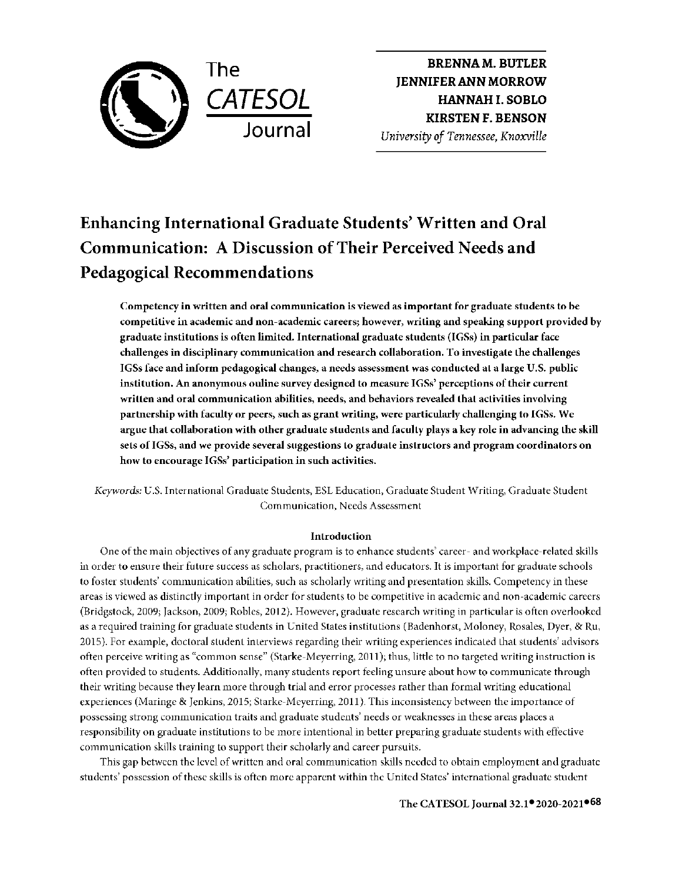

**BRENNA M. BUTLER JENNIFER ANN MORROW HANNAH** I. **SOBLO KIRSTEN F. BENSON**  *University of Tennessee, Knoxville* 

# **Enhancing International Graduate Students' Written and Oral Communication: A Discussion of Their Perceived Needs and Pedagogical Recommendations**

**Competency in written and oral communication is viewed as important for graduate students to he compelitive in academic and non-academic careers; however, wriling and speaking supporl provided by graduate institutions is often limited. International graduate students (IGSs) in particular face**  challenges in disciplinary communication and research collaboration. To investigate the challenges **IGSs face and inform pedagogical changes, a needs assessmenl was conducled al a large U.S. public institution. An anonymous online survey designed to measure IGSs' perceptions of their current wrillen and oral communicalion abilities, needs, and behaviors revealed Lhal aclivilies involving partnership with faculty or peers, such as grant writing, were particularly challenging to IGSs. We argue Lhal collaboralion wilh olher graduale sludenls and facully plays a key role in advancing Lhe skill**  sets of IGSs, and we provide several suggestions to graduate instructors and program coordinators on **how to encourage IGSs' participation in such activities.** 

*Keywords:* 1;.S. International Graduate Students, ESL Education, Graduate Student Writing, Graduate Student Communication, Needs Assessment

# **lnLroduclion**

One of the main objectives of any graduate program is to enhance students' career- and workplace-related skills in order to ensure their future success as scholars, practitioners, and educators. It is important for graduate schools to foster students' communication abilities, such as scholarly writing and presentation skills. Competency in these areas is viewed as distinctly important in order for students to be competitive in academic and non-academic careers (Bridgstock, 2009; Jackson, 2009; Robles, 2012). However, graduate research writing in particular is often overlooked as a required training for graduate students in United States institutions (Badenhorst, Moloney, Rosales, Dyer, & Ru, 2015). For example, docloral sludenl inLerviews regarding Lheir wriling experiences indicaled Lhal sludenls' advisors often perceive writing as "common sense" (Starke-Meyerring, 2011 ); thus, little to no targeted writing instruction is often provided to students. Additionally, many students report feeling unsure about how to communicate through their writing because they learn more through trial and error processes rather than formal writing educational experiences (Maringe & Jenkins, 2015; Starke-Meyerring, 2011). This inconsistency between the importance of possessing strong communication traits and graduate students' needs or weaknesses in these areas places a responsibility on graduate institutions to be more intentional in better preparing graduate students with effective communication skills training to support their scholarly and career pursuits.

This gap between the level of writtrn and oral communication skills needed to obtain employment and graduate students' possession of these skills is often more apparent within the United States' international graduate student

**● ●68** The CA TESOL Journal 32.1 2020-2021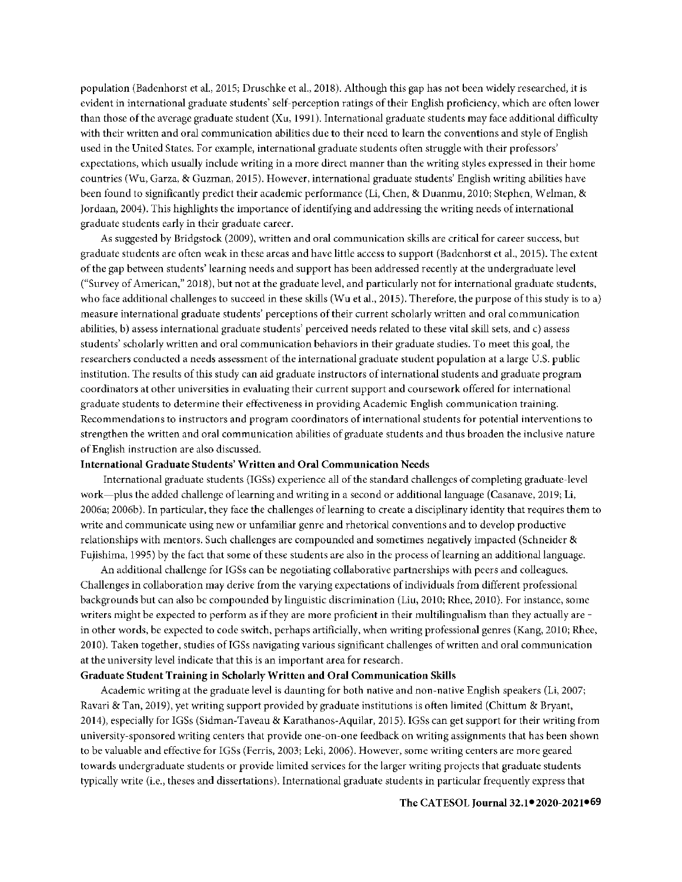population (Badcnhorst et al., 2015; Druschke et al., 2018). Although this gap has not been widely researched, **it** is evident in international graduate students' self-perception ratings of their English proficiency, which are often lower than those of the average graduate student (Xu, 1991). lnternational graduate students may face additional difficulty with their written and oral communication abilities due to their need to learn the conventions and style of English used in the United States. For example, international graduate students often struggle with their professors' expectations, which usually include writing in a more direct manner than the writing styles expressed in their home countries (Wu, Garza, & Guzman, 2015). However, international graduate students' English writing abilities have been found to significantly predict their academic performance (Li, Chen, & Duanmu, 2010; Stephen, Welman, & Jordaan, 2004). This highlights the importance of identifying and addressing the writing needs of international graduate students early in their graduate career.

As suggested by Bridgstock (2009), written and oral communication skills are critical for career success, but graduate students are often weak in these areas and have little access to support (Badenhorst et al., 2015). The extent of the gap between students' learning needs and support has been addressed recently at the undergraduate level ("Survey of American," 2018), but not at the graduate level, and particularly not for international graduate students, who face additional challenges to succeed in these skills (Wu et al., 2015). Therefore, the purpose of this study is to a) measure international graduate students' perceptions of their current scholarly written and oral communication abilities, b) assess international graduate students' perceived needs related to these vital skill sets, and c) assess students' scholarly written and oral communication behaviors in their graduate studies. To meet this goal, the researchers conducted a needs assessment of the international graduate student population at a large U.S. public institution. The results of this study can aid graduate instructors of international students and graduate program coordinators at other universities in evaluating their current support and coursework offered for international graduate students to determine their effectiveness in providing Academic English communication training. Recommendations to instructors and program coordinators of international students for potential interventions to strengthen the written and oral communication abilities of graduate students and thus broaden the inclusive nature of English instruction are also discussed.

### **International Graduate Students' Written and Oral Communication Needs**

International graduate students (IGSs) experience all of the standard challenges of completing graduate-level work-plus the added challenge of learning and writing in a second or additional language (Casanave, 2019; Li, 2006a; 2006b). In particular, they face the challenges oflearning to create a disciplinary identity that requires them to write and communicate using new or unfamiliar genre and rhetorical conventions and to develop productive relationships with mentors. Such challenges are compounded and sometimes negatively impacted (Schneider & Fujishima, 1995) by the fact that some of these students are also in the process of learning an additional language.

An additional challenge for IGSs can be negotiating collaborative partnerships with peers and colleagues. Challenges in collaboration may derive from the varying expectations of individuals from different professional backgrounds but can also be compounded by linguistic discrimination (Liu, 2010; Rhee, 2010). For instance, some writers might be expected to perform as if they are more proficient in their multilingualism than they actually are in other words, be expected to code switch, perhaps artificially, when writing professional genres (Kang, 2010; Rhee, 2010). Taken together, studies ofIGSs navigating various significant challenges of written and oral communication at the university level indicate that this is an important area for research.

### **Graduate Student Training in Scholarly Written and Oral Communication Skills**

Academic writing at the graduate level is daunting for both native and non-native English speakers (Li, 2007; Ravari & Tan, 2019), yet writing support provided by graduate institutions is often limited (Chittum & Bryant, 2014), especially for IGSs (Sidman-Taveau & Karathanos-Aquilar, 2015). IGSs can get support for their writing from university-sponsored writing centers that provide one-on-one feedback on writing assignments that has been shown to be valuable and effective for IGSs (Ferris, 2003; Leki, 2006). However, some writing centers are more geared towards undergraduate students or provide limited services for the larger writing projects that graduate students typically write (i.e., theses and dissertations). International graduate students in particular frequently express that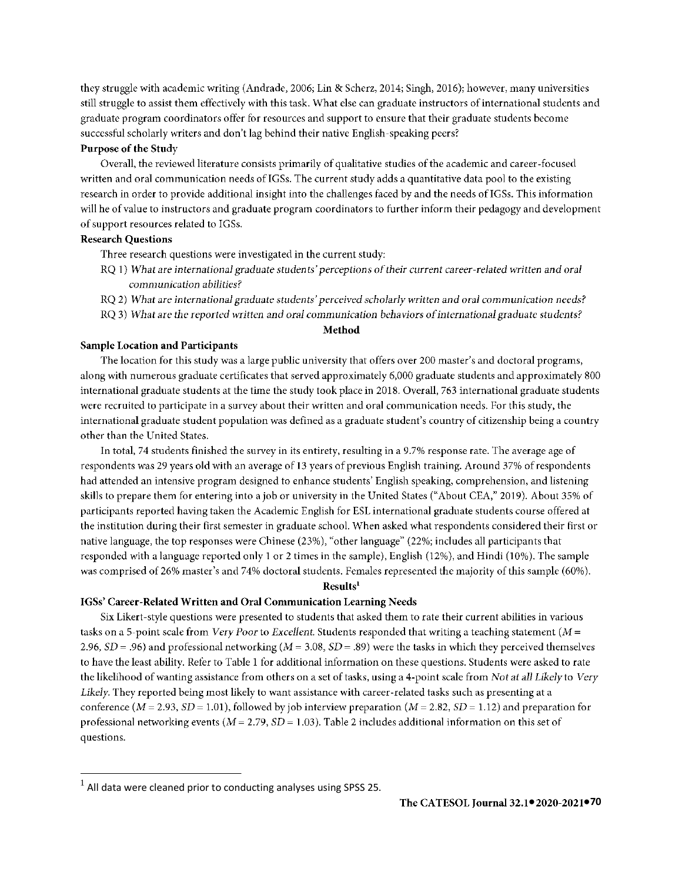they struggle with academic writing (Andrade, 2006; Lin & Scherz, 2014; Singh, 2016); however, many universities still struggle to assist them effectively with this task. What else can graduate instructors of international students and graduate program coordinators offer for resources and support to ensure that their graduate students become successful scholarly writers and don't lag behind their native English-speaking peers?

# **Purpose of the Study**

Overall, the reviewed literature consists primarily of qualitative studies of the academic and career-focused written and oral communication needs ofIGSs. The current study adds a quantitative data pool to the existing research in order to provide additional insight into the challenges faced by and the needs ofIGSs. This information will be of value to instructors and graduate program coordinators to further inform their pedagogy and development of support resources related to IGSs.

# **Research Questions**

- Three research questions were investigated in the current study:
- RQ 1) *What* are *international graduate students' perceptions of their* current career-related *written and oral communication abilities?*
- RQ 2) *What are international graduate students' perceived scholarly written and oral communication needs?*
- RQ 3) *Wliat arc the reported written and oral* communication *behaviors of international* graduate *students?*

# **Method**

### **Sample Location and Participants**

The location for this study was a large public university that offers over 200 master's and doctoral programs, along with numerous graduate certificates that served approximately 6,000 graduate students and approximately 800 international graduate students at the time the study took place in 2018. Overall, 763 international graduate students were recruited to participate in a survey about their written and oral communication needs. For this study, the international graduate student population was defined as a graduate student's country of citizenship being a country other than the United States.

In total, 74 students finished the survey in its entirety, resulting in a 9.7% response rate. The average age of respondents was 29 years old with an average of 13 years of previous English training. Around 37% of respondents had attended an intensive program designed to enhance students' English speaking, comprehension, and listening skills to prepare them for entering into a job or university in the United States ("About CEA," 2019). About 35% of participants reported having taken the Academic English for ESL international graduate students course offered at the institution during their first semester in graduate school. When asked what respondents considered their first or native language, the top responses were Chinese (23%), "other language" (22%; includes all participants that responded with a language reported only 1 or 2 times in the sample), English (12%), and Hindi (10%). The sample was comprised of 26% master's and 74% doctoral students. Females represented the majority of this sample (60%).

### **Results'**

## **IGSs' Career-Related Written and Oral Communication Learning Needs**

Six Likert-style questions were presented to students that asked them to rate their current abilities in various tasks on a 5-point scale from *Very Poorto Excellent.* Students responded that writing a teaching statement *(M* = 2.96, *SD =* .96) and professional networking *(M* = 3.08, *SD =* .89) were the tasks in which they perceived themselves to have the least ability. Refer to Table l for additional information on these questions. Students were asked to rate the likelihood of wanting assistance from others on a set of tasks, using a 4-point scale from *Not at all Likely* to *Very Likely.* They reported being most likely to want assistance with career-related tasks such as presenting at a conference  $(M = 2.93, SD = 1.01)$ , followed by job interview preparation  $(M = 2.82, SD = 1.12)$  and preparation for professional networking events (M = 2.79, *SD=* 1.03). Table 2 includes additional information on this set of questions.

 $<sup>1</sup>$  All data were cleaned prior to conducting analyses using SPSS 25.</sup>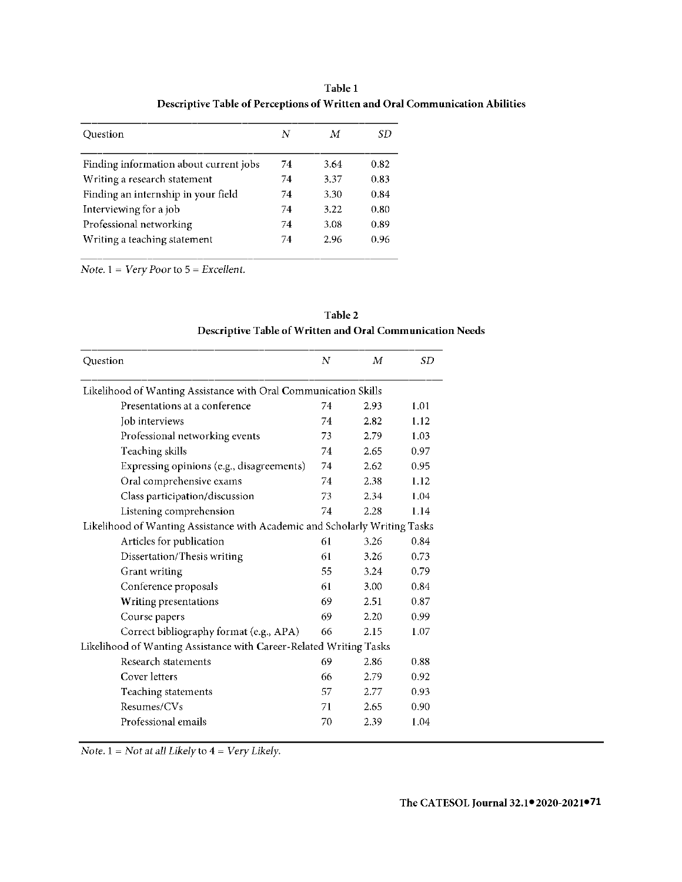**Table** 1 **Descriptive Table of Perceptions of Written and Oral Communication Abilities** 

| Question                               | N  | M    | SD   |
|----------------------------------------|----|------|------|
| Finding information about current jobs | 74 | 3.64 | 0.82 |
| Writing a research statement           | 74 | 3.37 | 0.83 |
| Finding an internship in your field    | 74 | 3.30 | 0.84 |
| Interviewing for a job                 | 74 | 3.22 | 0.80 |
| Professional networking                | 74 | 3.08 | 0.89 |
| Writing a teaching statement           | 74 | 2.96 | 0.96 |

*Note.* 1 = *Very Poorto* 5 = *Excellent.* 

| Question                                                                   | N  | М    | SD   |
|----------------------------------------------------------------------------|----|------|------|
| Likelihood of Wanting Assistance with Oral Communication Skills            |    |      |      |
| Presentations at a conference                                              | 74 | 2.93 | 1.01 |
| Job interviews                                                             | 74 | 2.82 | 1.12 |
| Professional networking events                                             | 73 | 2.79 | 1.03 |
| Teaching skills                                                            | 74 | 2.65 | 0.97 |
| Expressing opinions (e.g., disagreements)                                  | 74 | 2.62 | 0.95 |
| Oral comprehensive exams                                                   | 74 | 2.38 | 1.12 |
| Class participation/discussion                                             | 73 | 2.34 | 1.04 |
| Listening comprehension                                                    | 74 | 2.28 | 1.14 |
| Likelihood of Wanting Assistance with Academic and Scholarly Writing Tasks |    |      |      |
| Articles for publication                                                   | 61 | 3.26 | 0.84 |
| Dissertation/Thesis writing                                                | 61 | 3.26 | 0.73 |
| Grant writing                                                              | 55 | 3.24 | 0.79 |
| Conference proposals                                                       | 61 | 3.00 | 0.84 |
| Writing presentations                                                      | 69 | 2.51 | 0.87 |
| Course papers                                                              | 69 | 2.20 | 0.99 |
| Correct bibliography format (e.g., APA)                                    | 66 | 2.15 | 1.07 |
| Likelihood of Wanting Assistance with Career-Related Writing Tasks         |    |      |      |
| Research statements                                                        | 69 | 2.86 | 0.88 |
| Cover letters                                                              | 66 | 2.79 | 0.92 |
| Teaching statements                                                        | 57 | 2.77 | 0.93 |
| Resumes/CVs                                                                | 71 | 2.65 | 0.90 |
| Professional emails                                                        | 70 | 2.39 | 1.04 |

**Table2 Descriptive Table of Written and Oral Communication Needs** 

*Note.* 1 = *Not at all Likely* to 4 = *Very Likely.*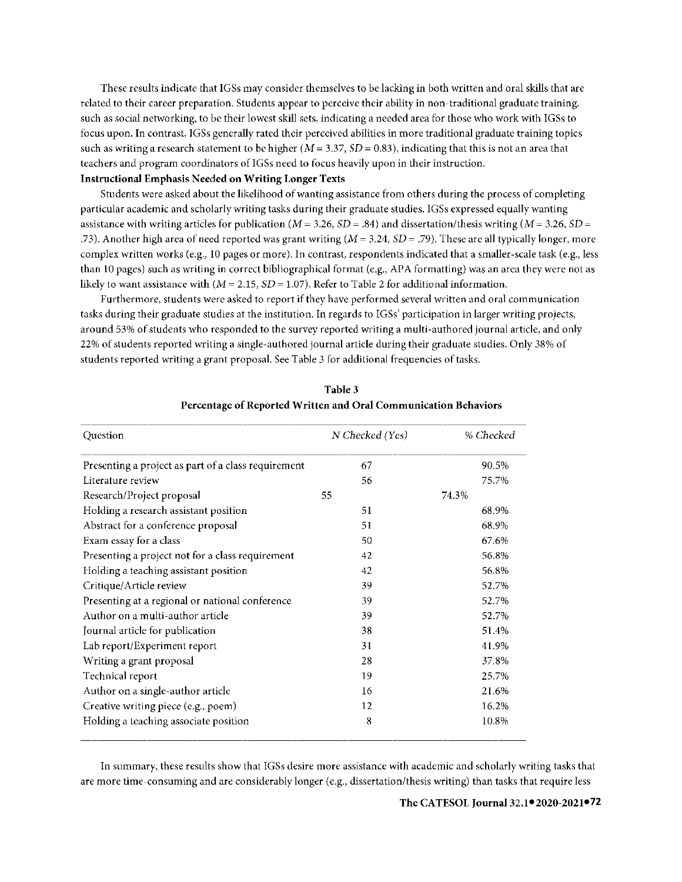These results indicate that IGSs may consider themselves to be lacking in both written and oral skills that are related to their career preparation. Students appear to perceive their ability in non-traditional graduate training, such as social networking, to be their lowest skill sets, indicating a needed area for those who work with IGSs to focus upon. In contrast, IGSs generally rated their perceived abilities in more traditional graduate training topics such as writing a research statement to be higher  $(M = 3.37, SD = 0.83)$ , indicating that this is not an area that teachers and program coordinators of IGSs need to focus heavily upon in their instruction.

# **Instructional Emphasis Needed on Writing Longer Texts**

Students were asked about the likelihood of wanting assistance from others during the process of completing particular academic and scholarly writing tasks during their graduate studies. IGSs expressed equally wanting assistance with writing articles for publication ( $M = 3.26$ ,  $SD = .84$ ) and dissertation/thesis writing ( $M = 3.26$ ,  $SD =$ .73). Another high area of need reported was grant writing (M = 3.24, *SD=* .79). These are all typically longer, more complex written works (e.g., 10 pages or more). In contrast, respondents indicated that a smaller-scale task (e.g., less than IO pages) such as writing in correct bibliographical format ( e.g., AP A formatting) was an area they were not as likely to want assistance with  $(M = 2.15, SD = 1.07)$ . Refer to Table 2 for additional information.

Furthermore, students were asked to report if they have performed several written and oral communication tasks during their graduate studies at the institution. In regards to IGSs' participation in larger writing projects, around 53% of students who responded to the survey reported writing a multi-authored journal article, and only 22% of students reported writing a single-authored journal article during their graduate studies. Only 38% of students reported writing a grant proposal. See Table 3 for additional frequencies of tasks.

| Question                                            | N Checked (Yes) | % Checked |
|-----------------------------------------------------|-----------------|-----------|
| Presenting a project as part of a class requirement | 67              | 90.5%     |
| Literature review                                   | 56              | 75.7%     |
| Research/Project proposal                           | 55              | 74.3%     |
| Holding a research assistant position               | 51              | 68.9%     |
| Abstract for a conference proposal                  | 51              | 68.9%     |
| Exam essay for a class                              | 50              | 67.6%     |
| Presenting a project not for a class requirement    | 42              | 56.8%     |
| Holding a teaching assistant position               | 42              | 56.8%     |
| Critique/Article review                             | 39              | 52.7%     |
| Presenting at a regional or national conference     | 39              | 52.7%     |
| Author on a multi-author article                    | 39              | 52.7%     |
| Journal article for publication                     | 38              | 51.4%     |
| Lab report/Experiment report                        | 31              | 41.9%     |
| Writing a grant proposal                            | 28              | 37.8%     |
| Technical report                                    | 19              | 25.7%     |
| Author on a single-author article                   | 16              | 21.6%     |
| Creative writing piece (e.g., poem)                 | 12              | 16.2%     |
| Holding a teaching associate position               | 8               | 10.8%     |

**Table 3 Percentage of Reported Written and Oral Communication Behaviors** 

In summary, these results show that IGSs desire more assistance with academic and scholarly writing tasks that are more time-consuming and are considerably longer (e.g., dissertation/thesis writing) than tasks that require less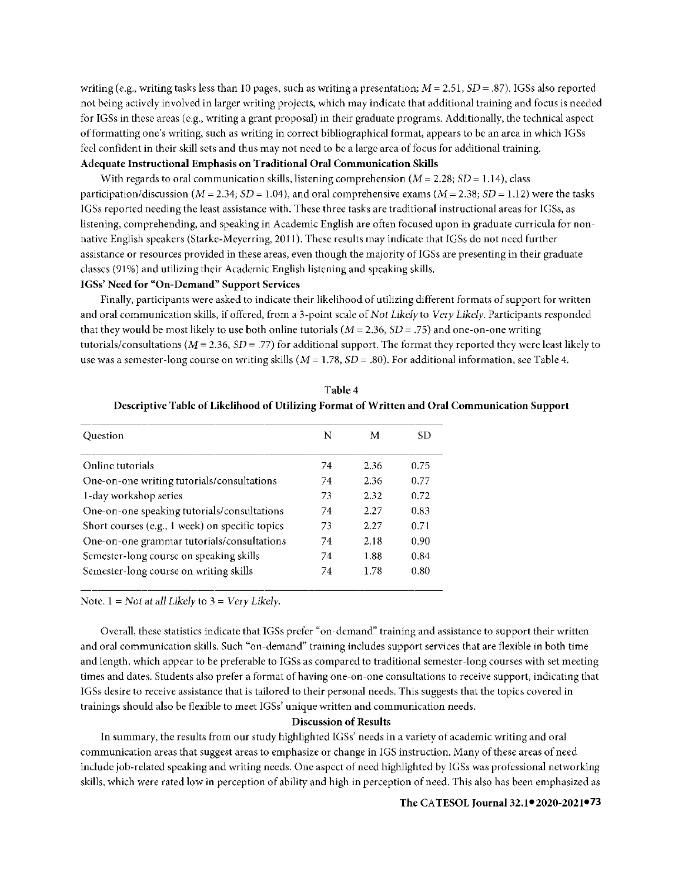writing (e.g., writing tasks less than IO pages, such as writing a presentation; *M* = 2.51, *SD=* .87). IGSs also reported not being actively involved in larger writing projects, which may indicate that additional training and focus is needed for IGSs in these areas (e.g., writing a grant proposal) in their graduate programs. Additionally, the technical aspect of formatting one's writing, such as writing in correct bibliographical format, appears to be an area in which IGSs feel confident in their skill sets and thus may not need to be a large area of focus for additional training. **Adequate Instructional Emphasis on Traditional Oral Communication Skills** 

With regards to oral communication skills, listening comprehension ( $M = 2.28$ ;  $SD = 1.14$ ), class participation/discussion  $(M = 2.34; SD = 1.04)$ , and oral comprehensive exams  $(M = 2.38; SD = 1.12)$  were the tasks IGSs reported needing the least assistance with. These three tasks are traditional instructional areas for IGSs, as listening, comprehending, and speaking in Academic English are often focused upon in graduate curricula for nonnative English speakers (Starke-Meyerring, 2011 ). These results may indicate that IGSs do not need further assistance or resources provided in these areas, even though the majority of IGSs are presenting in their graduate classes (91 %) and utilizing their Academic English listening and speaking skills.

### **IGSs' Need for "On-Demand" Support Services**

Finally, participants were asked to indicate their likelihood of utilizing different formats of support for written and oral communication skills, if offered, from a 3-point scale of *Not Likely* to *Very Likely.* Participants responded that they would be most likely to use both online tutorials  $(M = 2.36, SD = .75)$  and one-on-one writing tutorials/consultations (M = 2.36, *SD=* .77) for additional support. The format they reported they were least likely to use was a semester-long course on writing skills ( $M = 1.78$ ,  $SD = .80$ ). For additional information, see Table 4.

| Ouestion                                        | N  | м    | SD.  |
|-------------------------------------------------|----|------|------|
| Online tutorials                                | 74 | 2.36 | 0.75 |
| One-on-one writing tutorials/consultations      | 74 | 2.36 | 0.77 |
| 1-day workshop series                           | 73 | 2.32 | 0.72 |
| One-on-one speaking tutorials/consultations     | 74 | 2.27 | 0.83 |
| Short courses (e.g., 1 week) on specific topics | 73 | 2.27 | 0.71 |
| One-on-one grammar tutorials/consultations      | 74 | 2.18 | 0.90 |
| Semester-long course on speaking skills         | 74 | 1.88 | 0.84 |
| Semester-long course on writing skills          | 74 | 1.78 | 0.80 |

**Table4 Descriptive Table of Likelihood of Utilizing Format of Written and Oral Communication Support** 

Note. 1 = *Not at all Likely* to 3 = *Very Likely*.

Overall, these statistics indicate that IGSs prefer "on-demand" training and assistance to support their written and oral communication skills. Such "on-demand" training includes support services that are flexible in both time and length, which appear to be preferable to IGSs as compared to traditional semester-long courses with set meeting times and dates. Students also prefer a format of having one-on-one consultations to receive support, indicating that lGSs desire to receive assistance that is tailored to their personal needs. This suggests that the topics covered in trainings should also be flexible to meet IGSs' unique written and communication needs.

# **Discussion of Results**

In summary, the results from our study highlighted IGSs' needs in a variety of academic writing and oral communication areas that suggest areas to emphasize or change in ]GS instruction. Many of these areas of need include job-related speaking and writing needs. One aspect of need highlighted by IGSs was professional networking skills, which were rated low in perception of ability and high in perception of need. This also has been emphasized as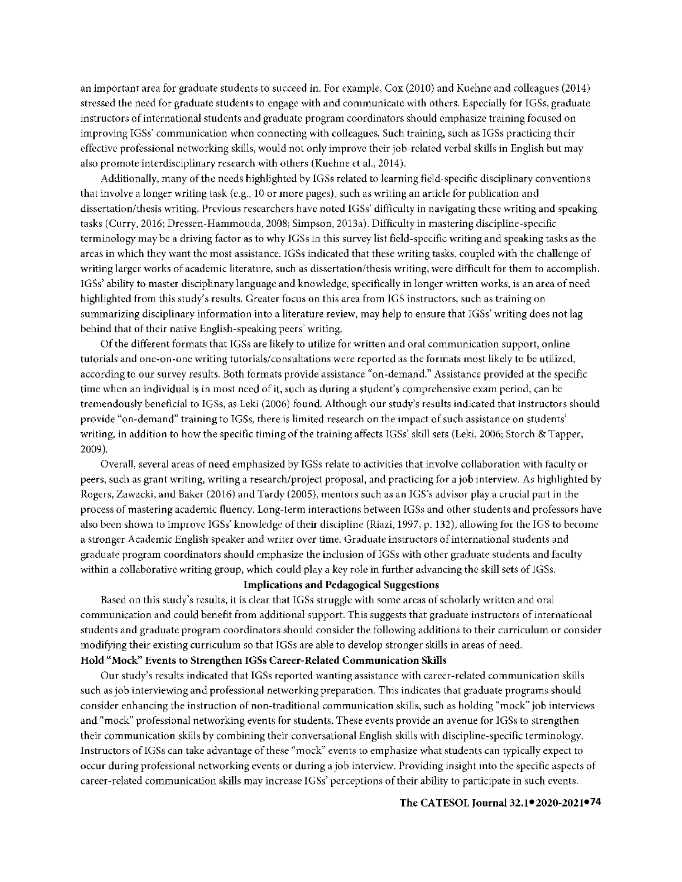an important area for graduate students to succeed in. For example, Cox (2010) and Kuehne and colleagues (2014) stressed the need for graduate students to engage with and communicate with others. Especially for IGSs, graduate instructors of international students and graduate program coordinators should emphasize training focused on improving IGSs' communication when connecting with colleagues. Such training, such as IGSs practicing their effective professional networking skills, would not only improve their job-related verbal skills in English but may also promote interdisciplinary research with others (Kuehne et al., 2014).

Additionally, many of the needs highlighted by IGSs related to learning field-specific disciplinary conventions that involve a longer writing task (e.g., 10 or more pages), such as writing an article for publication and dissertation/thesis writing. Previous researchers have noted IGSs' difficulty in navigating these writing and speaking tasks (Curry, 2016; Dressen-Hammouda, 2008; Simpson, 2013a). Difficulty in mastering discipline-specific terminology may be a driving factor as to why IGSs in this survey list field-specific writing and speaking tasks as the areas in which they want the most assistance. IGSs indicated that these writing tasks, coupled with the challenge of writing larger works of academic literature, such as dissertation/thesis writing, were difficult for them to accomplish. JGSs' ability to master disciplinary language and knowledge, specifically in longer written works, is an area of need highlighted from this study's results. Greater focus on this area from IGS instructors, such as training on summarizing disciplinary information into a literature review, may help to ensure that JGSs' writing does not lag behind that of their native English-speaking peers' writing.

Of the different formats that IGSs are likely to utilize for written and oral communication support, online tutorials and one-on-one writing tutorials/consultations were reported as the formats most likely to be utilized, according to our survey results. Both formats provide assistance "on-demand." Assistance provided at the specific time when an individual is in most need of it, such as during a student's comprehensive exam period, can be tremendously beneficial to IGSs, as Leki (2006) found. Although our study's results indicated that instructors should provide "on-demand" training to IGSs, there is limited research on the impact of such assistance on students' writing, in addition to how the specific timing of the training affects IGSs' skill sets (Leki, 2006; Storch & Tapper, 2009).

Overall, several areas of need emphasized by IGSs relate to activities that involve collaboration with faculty or peers, such as grant writing, writing a research/project proposal, and practicing for a job interview. As highlighted by Rogers, Zawacki, and Baker (2016) and Tardy (2005), mentors such as an IGS's advisor play a crucial part in the process of mastering academic fluency. Long-term interactions between IGSs and other students and professors have also been shown to improve JGSs' knowledge of their discipline (Riazi, 1997, p. 132), allowing for the JGS to become a stronger Academic English speaker and writer over time. Graduate instructors of international students and graduate program coordinators should emphasize the inclusion ofIGSs with other graduate students and faculty within a collaborative writing group, which could play a key role in further advancing the skill sets of IGSs.

### **Implications and Pedagogical Suggestions**

Based on this study's results, it is clear that JGSs struggle with some areas of scholarly written and oral communication and could benefit from additional support. This suggests that graduate instructors of international students and graduate program coordinators should consider the following additions to their curriculum or consider modifying their existing curriculum so that IGSs are able to develop stronger skills in areas of need. **Hold "Mock" Events** to **Strengthen IGSs Career-Related Communication Skills** 

Our study's results indicated that IGSs reported wanting assistance with career-related communication skills such as job interviewing and professional networking preparation. This indicates that graduate programs should consider enhancing the instruction of non-traditional communication skills, such as holding "mock" job interviews and "mock" professional networking events for students. These events provide an avenue for IGSs to strengthen their communication skills by combining their conversational English skills with discipline-specific terminology. Instructors of IGSs can take advantage of these "mock" events to emphasize what students can typically expect to occur during professional networking events or during a job interview. Providing insight into the specific aspects of career-related communication skills may increase IGSs' perceptions of their ability to participate in such events.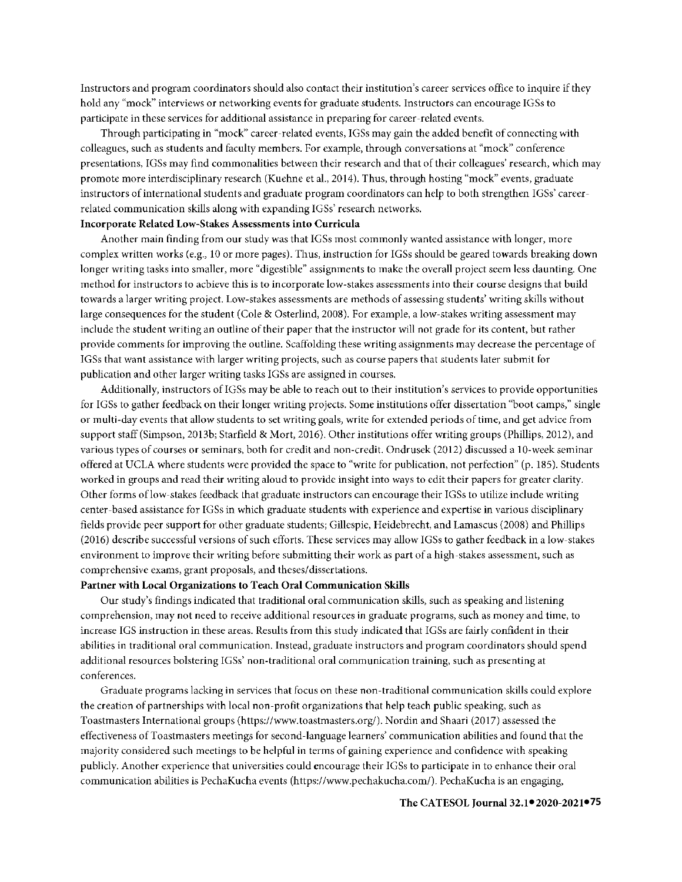lnstructors and program coordinators should also contact their institution's career services office to inquire if they hold any "mock" interviews or networking events for graduate students. lnstructors can encourage IGSs to participate in these services for additional assistance in preparing for career-related events.

Through participating in "mock" career-related events, IGSs may gain the added benefit of connecting with colleagues, such as students and faculty members. For example, through conversations at "mock" conference presentations, IGSs may find commonalities between their research and that of their colleagues' research, which may promote more interdisciplinary research (Kuehne et al., 2014). Thus, through hosting "mock" events, graduate instructors of international students and graduate program coordinators can help to both strengthen lGSs' careerrelated communication skills along with expanding IGSs' research networks.

# **Incorporate Related Low-Stakes Assessments into Curricula**

Another main finding from our study was that IGSs most commonly wanted assistance with longer, more complex written works (e.g., 10 or more pages). Thus, instruction **for** IGSs should be geared towards breaking down longer writing tasks into smaller, more "digestible" assignments to make the overall project seem less daunting. One method for instructors to achieve this is to incorporate low-stakes assessments into their course designs that build towards a larger writing project. Low-stakes assessments are methods of assessing students' writing skills without large consequences for the student (Cole & Osterlind, 2008). For example, a low-stakes writing assessment may include the student writing an outline of their paper that the instructor will not grade for its content, but rather provide comments for improving the outline. Scaffolding these writing assignments may decrease the percentage of lGSs that want assistance with larger writing projects, such as course papers that students later submit for publication and other larger writing tasks lGSs are assigned in courses.

Additionally, instructors ofIGSs may be able to reach out to their institution's services to provide opportunities for IGSs to gather feedback on their longer writing projects. Some institutions offer dissertation "boot camps," single or multi-day events that allow students to set writing goals, write for extended periods of time, and get advice from support staff (Simpson, 2013b; Starfield & Mort, 2016). Other institutions offer writing groups (Phillips, 2012), and various types of courses or seminars, both for credit and non-credit. Ondrusek (2012) discussed a 10-week seminar offered at UCLA where students were provided the space to "write for publication, not perfection" (p. 185). Students worked in groups and read their writing aloud to provide insight into ways to edit their papers for greater clarity. Other forms of low-stakes feedback that graduate instructors can encourage their IGSs to utilize include writing center-based assistance for IGSs in which graduate students with experience and expertise in various disciplinary fields provide peer support for other graduate students; Gillespie, Heidebrecht, and Lamascus (2008) and Phillips (2016) describe successful versions of such efforts. These services may allow lGSs to gather feedback in a low-stakes environment to improve their writing before submitting their work as part of a high-stakes assessment, such as comprehensive exams, grant proposals, and theses/dissertations.

### **Partner with Local Organizations to Teach Oral Communication Skills**

Our study's findings indicated that traditional oral communication skills, such as speaking and listening comprehension, may not need to receive additional resources in graduate programs, such as money and time, to increase IGS instruction in these areas. Results from this study indicated that IGSs are fairly confident in their abilities in traditional oral communication. Instead, graduate instructors and program coordinators should spend additional resources bolstering IGSs' non-traditional oral communication training, such as presenting at conferences.

Graduate programs lacking in services that focus on these non-traditional communication skills could explore the creation of partnerships with local non-profit organizations that help teach public speaking, such as Toastmasters International groups (https://www.toastmasters.org/). Nordin and Shaari (2017) assessed the effectiveness of Toastmasters meetings for second-language learners' communication abilities and found that the majority considered such meetings to be helpful in terms of gaining experience and confidence with speaking publicly. Another experience that universities could encourage their lGSs to participate in to enhance their oral communication abilities is PechaKucha events (https://www.pechakucha.com/). PechaKucha is an engaging,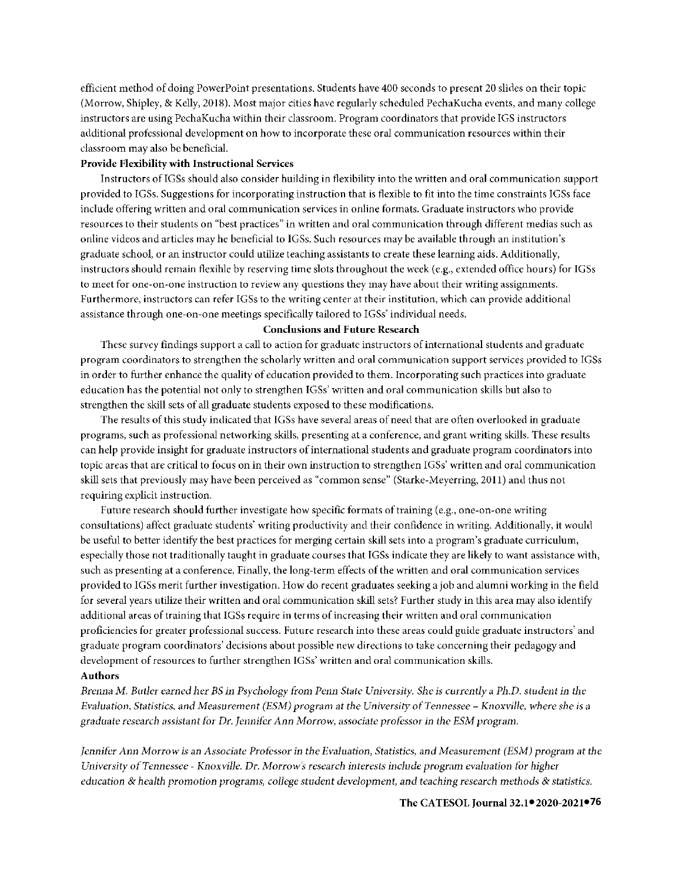efficient method of doing Power Point presentations. Students have 400 seconds to present 20 slides on their topic (Morrow, Shipley, & Kelly, 2018). Most major cities have regularly scheduled PechaKucha events, and many college instructors are using PechaKucha within their classroom. Program coordinators that provide IGS instructors additional professional development on how to incorporate these oral communication resources within their classroom may also be beneficial.

### **Provide Flexibility with Instructional Services**

Instructors ofIGSs should also consider building in flexibility into the written and oral communication support provided to IGSs. Suggestions for incorporating instruction that is flexible to fit into the time constraints IGSs face include offering written and oral communication services in online formats. Graduate instructors who provide resources to their students on "best practices" in written and oral communication through different medias such as online videos and articles may be beneficial to IGSs. Such resources may be available through an institution's graduate school, or an instructor could utilize teaching assistants to create these learning aids. Additionally, instructors should remain flexible by reserving time slots throughout the week (e.g., extended office hours) for IGSs to meet for one-on-one instruction to review any questions they may have about their writing assignments. Furthermore, instructors can refer IGSs to the writing center at their institution, which can provide additional assistance through one-on-one meetings specifically tailored to IGSs' individual needs.

## **Conclusions and Future Research**

These survey findings support a call to action for graduate instructors of international students and graduate program coordinators to strengthen the scholarly written and oral communication support services provided to IGSs in order to further enhance the quality of education provided to them. Incorporating such practices into graduate education has the potential not only to strengthen IGSs' written and oral communication skills but also to strengthen the skill sets of all graduate students exposed to these modifications.

The results of this study indicated that IGSs have several areas of need that are often overlooked in graduate programs, such as professional networking skills, presenting at a conference, and grant writing skills. These results can help provide insight for graduate instructors of international students and graduate program coordinators into topic areas that are critical to focus on in their own instruction to strengthen IGSs' written and oral communication skill sets that previously may have been perceived as "common sense" (Starke-Meyerring, 2011) and thus not requiring explicit instruction.

Future research should further investigate how specific formats of training (e.g., one-on-one writing consultations) affect graduate students' writing productivity and their confidence in writing. Additionally, **it** would be useful to better identify the best practices for merging certain skill sets into a program's graduate curriculum, especially those not traditionally taught in graduate courses that IGSs indicate they are likely to want assistance with, such as presenting at a conference. Finally, the long-term effects of the written and oral communication services provided to IGSs merit further investigation. How do recent graduates seeking a job and alumni working in the field for several years utilize their written and oral communication skill sets? Further study in this area may also identify additional areas of training that IGSs require in terms of increasing their written and oral communication proficiencies for greater professional success. Future research into these areas could guide graduate instructors' and graduate program coordinators' decisions about possible new directions to take concerning their pedagogy and development of resources to further strengthen IGSs' written and oral communication skills. **Authors** 

*Brenna M. Butler earned her BS in Psychology from* Penn *State University. She is currently* a *Ph.D. student in the Evaluation, Statistics,* and *Measurement (ESM) program* at *the University of Tennessee* - *Knoxville, where she* is a *graduate research assistant* for *Dr. Je1111ifer Ann A1orrow, associate professor in the ESJ\1 program.* 

*Jennifer Ann Morrow is an Associate Professor in the Evaluation, Statistics, and Measurement (ESM) program at the University of Tennessee - Knoxville. Dr. Morrow's research interests include program evaluation for higher education* & *health promotion* programs, *college student development, and teaching research methods* & *statistics.* 

### **● ●76 The CATESOL Journal 32.1 2020-2021**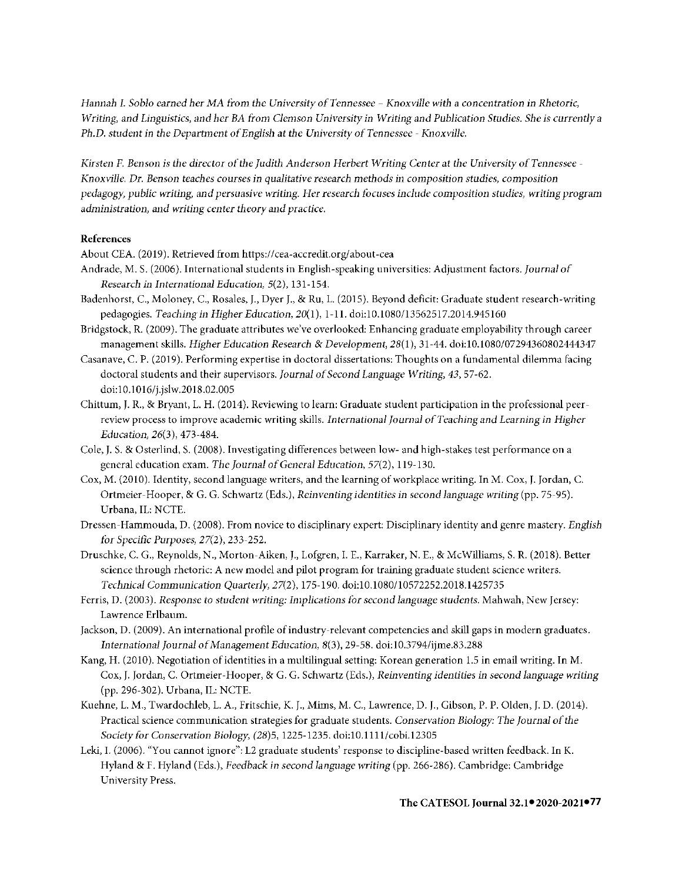Hannah *I. Soblo earned her MA from the University of Tennessee - Knoxville with a concentration in Rhetoric, Writing, and Linguistics, and her BA from Clemson University in Writing and Publication Studies. She is currently a Ph.D. student in the Department of English at the University of Tennessee - Knoxville.* 

*Kirsten* F. *Be11son is the director* of *the Judith A11derson* Herbert *Writing Center* at *tlie U11iversity of Tennessee* - *Knoxville. Dr. Benson teaches courses in qualitative research methods in composition studies, composition pedagogy, public writing, and persuasive writing. Her research focuses include composition studies, writing program* administration, and writing center theory and practice.

# **References**

About CEA. (2019). Retrieved from https:/ /cea-accredit.org/about-cea

- Andrade, M. S. (2006). International students in English-speaking universities: Adjustment factors. *Journal* of *Research in International Education,* 5(2), 131-154.
- Badenhorst, C., Moloney, C., Rosales, J., Dyer J., & Ru, L. (2015). Beyond deficit: Graduate student research-writing pedagogies. *Teaching in Higher Education,* 20(1), 1-11. doi:10.1080/13562517.2014.945160
- Bridgstock, R. (2009). The graduate attributes we've overlooked: Enhancing graduate employability through career management skills. *Higher Education Research* & *Development,* 28(1), 31-44. doi:10.1080/07294360802444347
- Casanave, C. **P.** (2019). Performing expertise in doctoral dissertations: Thoughts on a fundamental dilemma facing doctoral students and their supervisors. *Journal of Second Language Writing, 43,* 57-62. doi:10.1016/j.jslw.2018.02.005
- Chittum, J. R., & Bryant, L. H. (2014). Reviewing to learn: Graduate student participation in the professional peerreview process to improve academic vrriting skills. *International Journal of Teaching and Learning* in *Higher Education,* 26(3), 473-484.
- Cole, J. S. & Osterlind, S. (2008). Investigating differences between low- and high-stakes test performance on a general education exam. *The Journal of General Education,* 57(2), 119-130.
- Cox, M. (2010). Identity, second language writers, and the learning of workplace writing. In M. Cox, **J.** Jordan, C. Ortmeier-Hooper, & G. G. Schwartz (Eds.), *Reinventing identities in second language writing* (pp. 75-95). Urbana, IL: NCTE.
- Dressen-Hammouda, D. (2008). From novice to disciplinary expert: Disciplinary identity and genre mastery. *English for Specific Purposes,* 27(2), 233-252.
- Druschke, C. G., Reynolds, N., Morton-Aiken, J., Lofgren, I.E., Karraker, N. E., & McWilliarns, S. R. (2018). Better science through rhetoric: A new model and pilot program for training graduate student science writers. *Technical Communication Quarterly,* 27(2), 175-190. doi:10.1080/10572252.2018.1425735
- Ferris, D. (2003). *Response to student writing: Implications for second language students*. Mahwah, New Jersey: Lawrence Erlbaum.
- Jackson, D. (2009). An international profile of industry-relevant competencies and skill gaps in modern graduates. *Internatio11al Journal* of *Management Education,* 8(3 ), 29-58. doi: 10.3794/ijme.83.288
- Kang, **H.** (2010). Negotiation of identities in a multilingual setting: Korean generation 1.5 in email writing. **In** M. Cox, J. Jordan, C. Ortmeier-Hooper, & G. G. Schwartz (Eds.), *Reinventing identities in second language writing*  (pp. 296-302). Urbana, **IL:** NCTE.
- Kuehne, L. M., Twardochleb, L.A., Fritschie, K. J., Mims, M. C., Lawrence, D. **J.,** Gibson, P. **P.** Olden, J. D. (2014). Practical science communication strategies **for** graduate students. *Conservation Biology: The* Journal of *the Society for Conservation Biology, (28)5,* 1225-1235. doi: 10.1111 / cobi.12305
- Leki, I. (2006). "You cannot ignore": 12 graduate students' response to discipline-based written feedback. In K. Hyland & F. Hyland (Eds.), *Feedback in second language writing* (pp. 266-286). Cambridge: Cambridge University Press.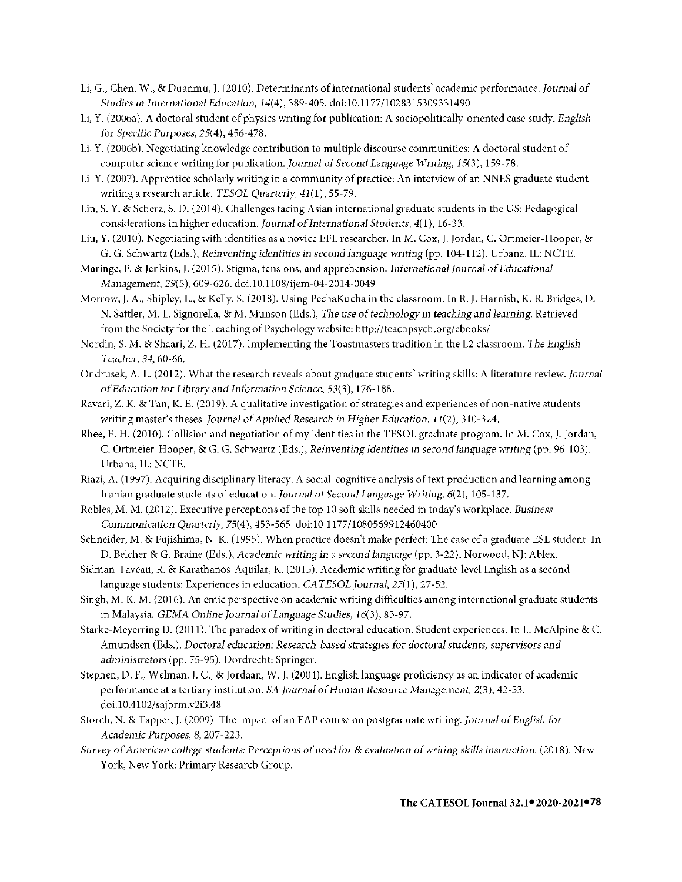- Li, G., Chen, W., & Duanmu, J. (2010). Determinants of international students' academic performance. Journal *of Studies in International Education,* 14(4), 389-405. doi: 10.1177 /1028315309331490
- Li, Y. (2006a). A doctoral student of physics writing for publication: A sociopolitically-oriented case study. *English*  for *Specific Purposes,* 25(4), 456-478.
- Li, Y. (2006b). Negotiating knowledge contribution to multiple discourse communities: A doctoral student of computer science writing for publication. *Journal* of *Second Language Writing,* 15(3 ), 159-78.
- Li, Y. (2007). Apprentice scholarly writing in a community of practice: An interview of an NNES graduate student writing a research article. *TESOL Quarterly*,  $41(1)$ , 55-79.
- Lin, S. Y. & Scherz, S. D. (2014). Challenges facing Asian international graduate students in the US: Pedagogical considerations in higher education. *Journal ofinternational Students,* 4(1), 16-33.
- Liu, Y. (2010). Negotiating with identities as a novice EFL researcher. In M. Cox, J. Jordan, C. Ortmeier-Hooper, & G. G. Schwartz (Eds.), *Reinventing identities in second language writing* (pp. 104-112). Urbana, IL: NCTE.
- Maringe, F. & Jenkins, J. (2015). Stigma, tensions, and apprehension. *International Journal of Educational Management,* 29(5), 609-626. doi:10.l 108/ijem-04-2014-0049
- Morrow, J. A., Shipley, L., & Kelly, S. (2018). Using PechaKucha in the classroom. In R. J. Harnish, K. R. Bridges, D. N. Sattler, M. L. Signorella, & M. Munson (Eds.), *The use* of *technology in teaching and learning.* Retrieved from the Society for the Teaching of Psychology website: http://teachpsych.org/ebooks/
- Nordin, S. M. & Shaari, Z. H. (2017). Implementing the Toastmasters tradition in the L2 classroom. *The English Teacher, 34,* 60-66.
- Ondrusek, A. L. (2012). What the research reveals about graduate students' writing skills: A literature review. Journal *of Education* for *Library and Information Science, 53(3),* 176-188.
- Ravari, Z. K. & Tan, K. E. (2019). A qualitative investigation of strategies and experiences of non-native students writing master's theses. *Journal of Applied Research in Higher Education,* 11(2), 310-324.
- Rhee, E. H. (2010). Collision and negotiation of my identities in the TESOL graduate program. In M. Cox, J. Jordan, C. Ortmeier-Hooper, & G. G. Schwartz (Eds.), *Reinventing identities in second language writing* (pp. 96-103). Urbana, IL: NCTE.
- Riazi, A. (1997). Acquiring disciplinary literacy: A social-cognitive analysis of text production and learning among Iranian graduate students of education. *Journal* of Second Language *Writing,* 6(2), 105-137.
- Robles, M. M. (2012). Executive perceptions of the top 10 soft skills needed in today's workplace. *Business Communication Quarterly,* 75( 4), 453-565. doi: 10.1177 /1080569912460400
- Schneider, M. & Fujishima, N. K. (1995). When practice doesn't make perfect: The case of a graduate ESL student. In D. Belcher & G. Braine (Eds.), *Academic writing in a second language* (pp. 3-22). Norwood, NJ: Ablex.
- Sidman-Taveau, R. & Karathanos-Aquilar, K. (2015). Academic writing for graduate-level English as a second language students: Experiences in education. *CATESOL Journal*, 27(1), 27-52.
- Singh, M. K. M. (2016). Anemic perspective on academic writing difficulties among international graduate students in Malaysia. *GEMA Online Journal* of *Language Studies,* 16(3), 83-97.
- Starke-Meyerring D. (2011). The paradox of writing in doctoral education: Student experiences. In L. McAlpine & C. Amundsen (Eds.), *Doctoral education: Rcscarcl1-based strategics* for *doctoral students, supervisors and administrators* (pp. 75-95). Dordrecht: Springer.
- Stephen, D. F., Welman, J. C., & Jordaan, W. J. (2004). English language proficiency as an indicator of academic performance at a tertiary institution. *SA Journal* ofHuman *Resource Management,* 2(3), 42-53. doi:10.4102/sajhrm.v2i3.48
- Storch, N. & Tapper, **J.** (2009). The impact of an EAP course on postgraduate writing. *Journal ofEnglish* for *Academic Purposes, 8,* 207-223.
- *Survey* of *American college students: Perceptions* of *need* for & *evaluation of writing skills instruction.* (2018). New York, New York: Primary Research Group.